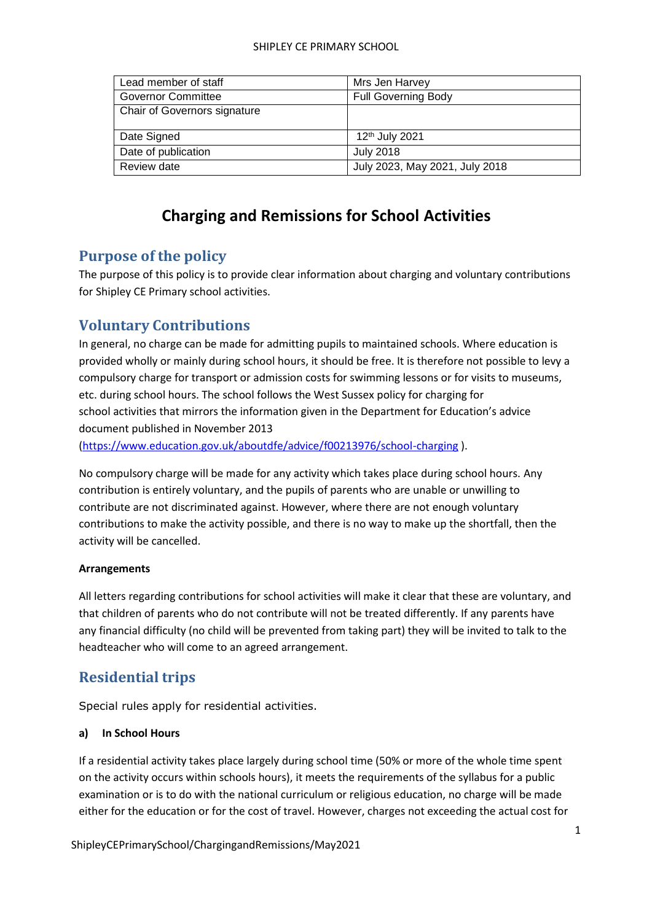| Lead member of staff         | Mrs Jen Harvey                 |
|------------------------------|--------------------------------|
| <b>Governor Committee</b>    | <b>Full Governing Body</b>     |
| Chair of Governors signature |                                |
|                              |                                |
| Date Signed                  | 12 <sup>th</sup> July 2021     |
| Date of publication          | <b>July 2018</b>               |
| Review date                  | July 2023, May 2021, July 2018 |

# **Charging and Remissions for School Activities**

# **Purpose of the policy**

The purpose of this policy is to provide clear information about charging and voluntary contributions for Shipley CE Primary school activities.

# **Voluntary Contributions**

In general, no charge can be made for admitting pupils to maintained schools. Where education is provided wholly or mainly during school hours, it should be free. It is therefore not possible to levy a compulsory charge for transport or admission costs for swimming lessons or for visits to museums, etc. during school hours. The school follows the West Sussex policy for charging for school activities that mirrors the information given in the Department for Education's advice document published in November 2013

[\(https://www.education.gov.uk/aboutdfe/advice/f00213976/school-charging](https://www.education.gov.uk/aboutdfe/advice/f00213976/school-charging) ).

No compulsory charge will be made for any activity which takes place during school hours. Any contribution is entirely voluntary, and the pupils of parents who are unable or unwilling to contribute are not discriminated against. However, where there are not enough voluntary contributions to make the activity possible, and there is no way to make up the shortfall, then the activity will be cancelled.

## **Arrangements**

All letters regarding contributions for school activities will make it clear that these are voluntary, and that children of parents who do not contribute will not be treated differently. If any parents have any financial difficulty (no child will be prevented from taking part) they will be invited to talk to the headteacher who will come to an agreed arrangement.

# **Residential trips**

Special rules apply for residential activities.

## **a) In School Hours**

If a residential activity takes place largely during school time (50% or more of the whole time spent on the activity occurs within schools hours), it meets the requirements of the syllabus for a public examination or is to do with the national curriculum or religious education, no charge will be made either for the education or for the cost of travel. However, charges not exceeding the actual cost for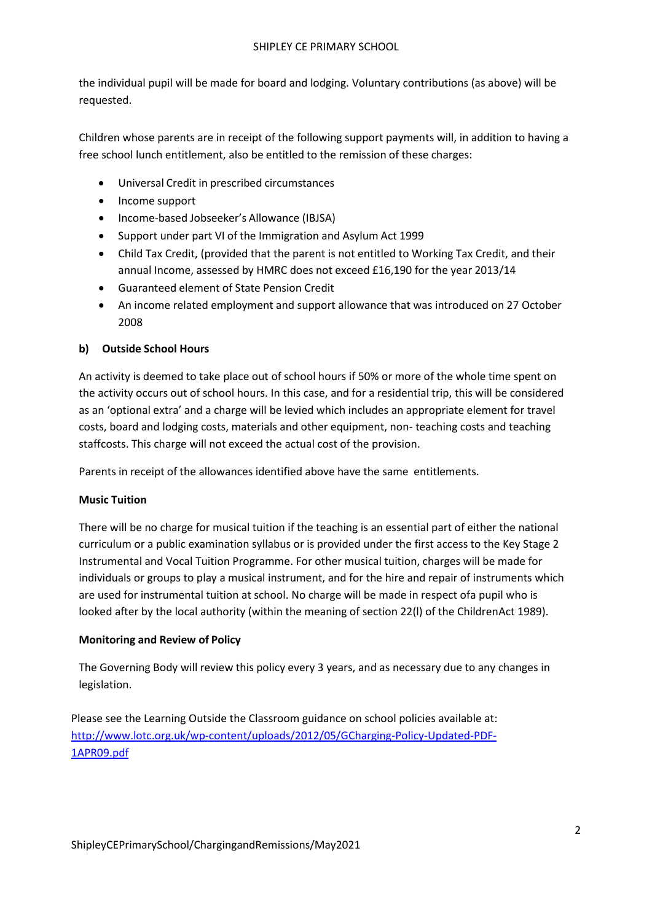the individual pupil will be made for board and lodging. Voluntary contributions (as above) will be requested.

Children whose parents are in receipt of the following support payments will, in addition to having a free school lunch entitlement, also be entitled to the remission of these charges:

- Universal Credit in prescribed circumstances
- Income support
- Income-based Jobseeker's Allowance (IBJSA)
- Support under part VI of the Immigration and Asylum Act 1999
- Child Tax Credit, (provided that the parent is not entitled to Working Tax Credit, and their annual Income, assessed by HMRC does not exceed £16,190 for the year 2013/14
- Guaranteed element of State Pension Credit
- An income related employment and support allowance that was introduced on 27 October 2008

## **b) Outside School Hours**

An activity is deemed to take place out of school hours if 50% or more of the whole time spent on the activity occurs out of school hours. In this case, and for a residential trip, this will be considered as an 'optional extra' and a charge will be levied which includes an appropriate element for travel costs, board and lodging costs, materials and other equipment, non- teaching costs and teaching staffcosts. This charge will not exceed the actual cost of the provision.

Parents in receipt of the allowances identified above have the same entitlements.

## **Music Tuition**

There will be no charge for musical tuition if the teaching is an essential part of either the national curriculum or a public examination syllabus or is provided under the first access to the Key Stage 2 Instrumental and Vocal Tuition Programme. For other musical tuition, charges will be made for individuals or groups to play a musical instrument, and for the hire and repair of instruments which are used for instrumental tuition at school. No charge will be made in respect ofa pupil who is looked after by the local authority (within the meaning of section 22(l) of the ChildrenAct 1989).

### **Monitoring and Review of Policy**

The Governing Body will review this policy every 3 years, and as necessary due to any changes in legislation.

Please see the Learning Outside the Classroom guidance on school policies available at: [http://www.lotc.org.uk/wp-content/uploads/2012/05/GCharging-Policy-Updated-PDF-](http://www.lotc.org.uk/wp-content/uploads/2012/05/GCharging-Policy-Updated-PDF-1APR09.pdf)[1APR09.pdf](http://www.lotc.org.uk/wp-content/uploads/2012/05/GCharging-Policy-Updated-PDF-1APR09.pdf)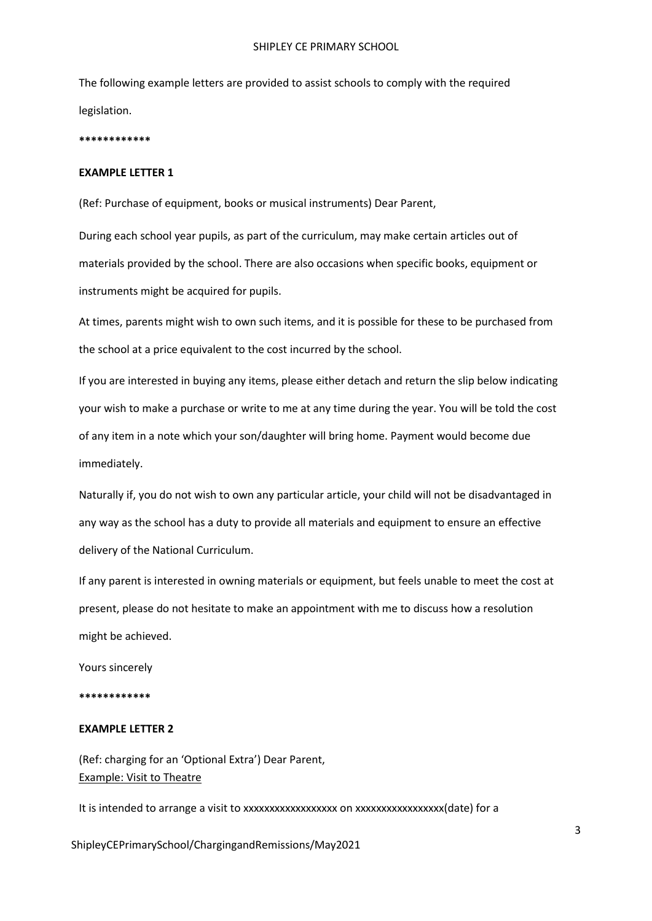The following example letters are provided to assist schools to comply with the required legislation.

#### **\*\*\*\*\*\*\*\*\*\*\*\***

#### **EXAMPLE LETTER 1**

(Ref: Purchase of equipment, books or musical instruments) Dear Parent,

During each school year pupils, as part of the curriculum, may make certain articles out of materials provided by the school. There are also occasions when specific books, equipment or instruments might be acquired for pupils.

At times, parents might wish to own such items, and it is possible for these to be purchased from the school at a price equivalent to the cost incurred by the school.

If you are interested in buying any items, please either detach and return the slip below indicating your wish to make a purchase or write to me at any time during the year. You will be told the cost of any item in a note which your son/daughter will bring home. Payment would become due immediately.

Naturally if, you do not wish to own any particular article, your child will not be disadvantaged in any way as the school has a duty to provide all materials and equipment to ensure an effective delivery of the National Curriculum.

If any parent is interested in owning materials or equipment, but feels unable to meet the cost at present, please do not hesitate to make an appointment with me to discuss how a resolution might be achieved.

Yours sincerely

**\*\*\*\*\*\*\*\*\*\*\*\***

#### **EXAMPLE LETTER 2**

(Ref: charging for an 'Optional Extra') Dear Parent, Example: Visit to Theatre

It is intended to arrange a visit to xxxxxxxxxxxxxxxxxx on xxxxxxxxxxxxxxxxx(date) for a

ShipleyCEPrimarySchool/ChargingandRemissions/May2021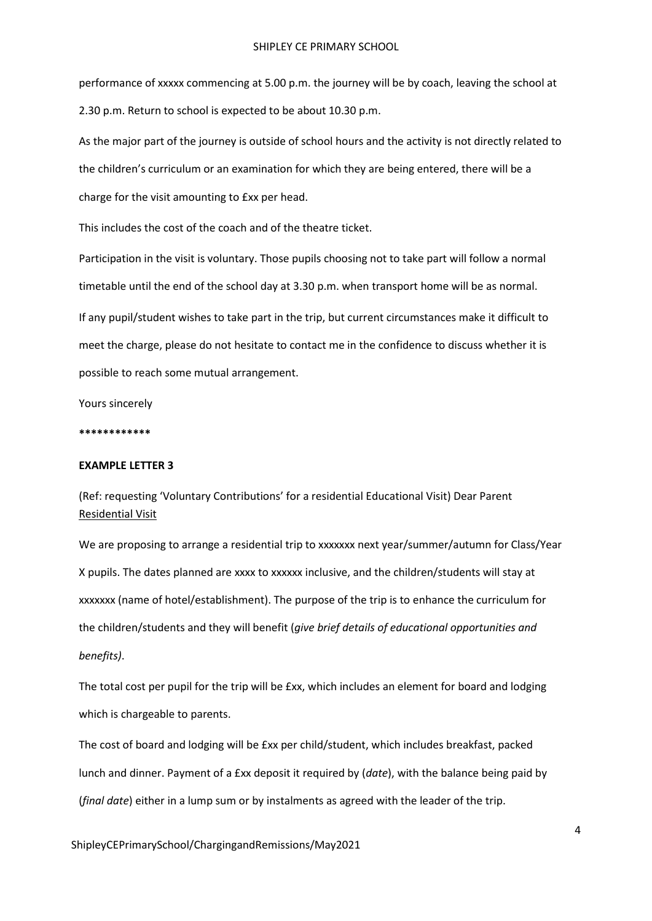performance of xxxxx commencing at 5.00 p.m. the journey will be by coach, leaving the school at 2.30 p.m. Return to school is expected to be about 10.30 p.m.

As the major part of the journey is outside of school hours and the activity is not directly related to the children's curriculum or an examination for which they are being entered, there will be a charge for the visit amounting to £xx per head.

This includes the cost of the coach and of the theatre ticket.

Participation in the visit is voluntary. Those pupils choosing not to take part will follow a normal timetable until the end of the school day at 3.30 p.m. when transport home will be as normal. If any pupil/student wishes to take part in the trip, but current circumstances make it difficult to meet the charge, please do not hesitate to contact me in the confidence to discuss whether it is possible to reach some mutual arrangement.

Yours sincerely

**\*\*\*\*\*\*\*\*\*\*\*\***

### **EXAMPLE LETTER 3**

(Ref: requesting 'Voluntary Contributions' for a residential Educational Visit) Dear Parent Residential Visit

We are proposing to arrange a residential trip to xxxxxxx next year/summer/autumn for Class/Year X pupils. The dates planned are xxxx to xxxxxx inclusive, and the children/students will stay at xxxxxxx (name of hotel/establishment). The purpose of the trip is to enhance the curriculum for the children/students and they will benefit (*give brief details of educational opportunities and benefits)*.

The total cost per pupil for the trip will be £xx, which includes an element for board and lodging which is chargeable to parents.

The cost of board and lodging will be £xx per child/student, which includes breakfast, packed lunch and dinner. Payment of a £xx deposit it required by (*date*), with the balance being paid by (*final date*) either in a lump sum or by instalments as agreed with the leader of the trip.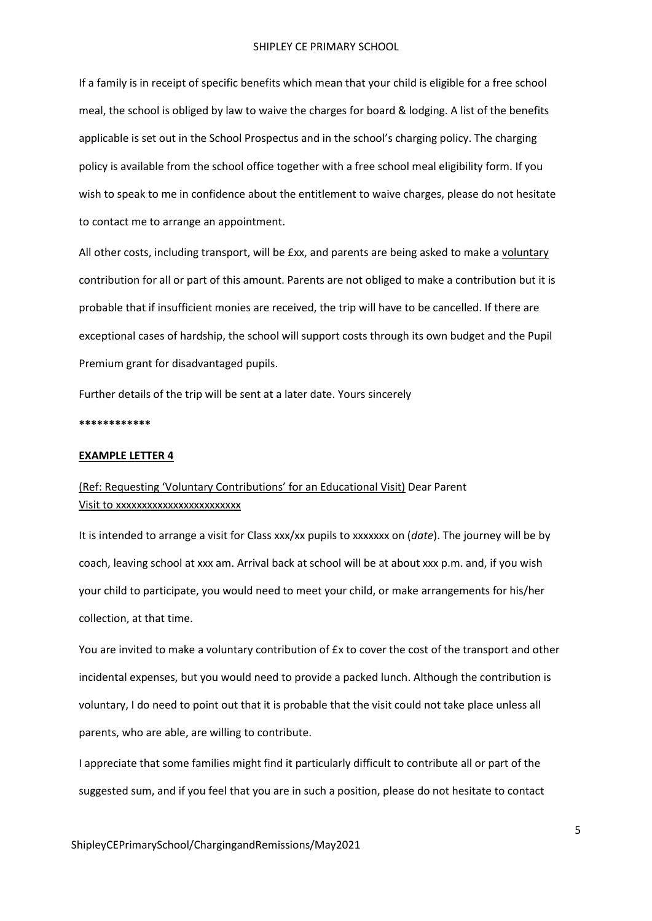If a family is in receipt of specific benefits which mean that your child is eligible for a free school meal, the school is obliged by law to waive the charges for board & lodging. A list of the benefits applicable is set out in the School Prospectus and in the school's charging policy. The charging policy is available from the school office together with a free school meal eligibility form. If you wish to speak to me in confidence about the entitlement to waive charges, please do not hesitate to contact me to arrange an appointment.

All other costs, including transport, will be £xx, and parents are being asked to make a voluntary contribution for all or part of this amount. Parents are not obliged to make a contribution but it is probable that if insufficient monies are received, the trip will have to be cancelled. If there are exceptional cases of hardship, the school will support costs through its own budget and the Pupil Premium grant for disadvantaged pupils.

Further details of the trip will be sent at a later date. Yours sincerely

**\*\*\*\*\*\*\*\*\*\*\*\***

#### **EXAMPLE LETTER 4**

## (Ref: Requesting 'Voluntary Contributions' for an Educational Visit) Dear Parent Visit to xxxxxxxxxxxxxxxxxxxxxxxx

It is intended to arrange a visit for Class xxx/xx pupils to xxxxxxx on (*date*). The journey will be by coach, leaving school at xxx am. Arrival back at school will be at about xxx p.m. and, if you wish your child to participate, you would need to meet your child, or make arrangements for his/her collection, at that time.

You are invited to make a voluntary contribution of £x to cover the cost of the transport and other incidental expenses, but you would need to provide a packed lunch. Although the contribution is voluntary, I do need to point out that it is probable that the visit could not take place unless all parents, who are able, are willing to contribute.

I appreciate that some families might find it particularly difficult to contribute all or part of the suggested sum, and if you feel that you are in such a position, please do not hesitate to contact